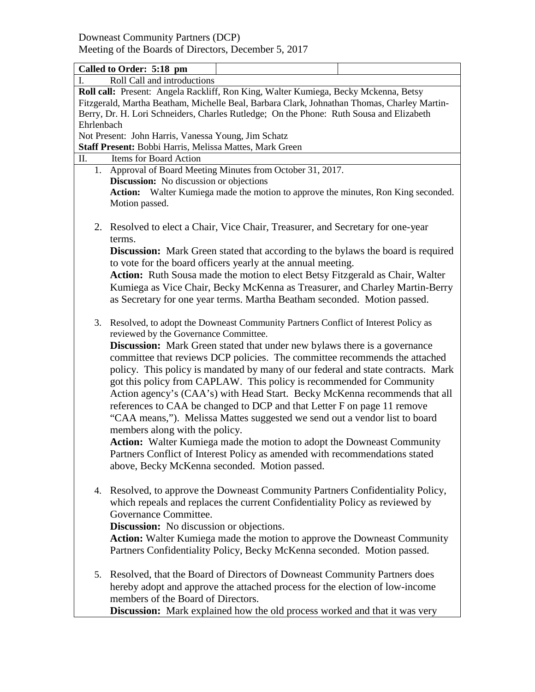Meeting of the Boards of Directors, December 5, 2017

|                                                                                             | Called to Order: 5:18 pm                                                                |  |  |  |  |
|---------------------------------------------------------------------------------------------|-----------------------------------------------------------------------------------------|--|--|--|--|
| Roll Call and introductions                                                                 |                                                                                         |  |  |  |  |
| Roll call: Present: Angela Rackliff, Ron King, Walter Kumiega, Becky Mckenna, Betsy         |                                                                                         |  |  |  |  |
| Fitzgerald, Martha Beatham, Michelle Beal, Barbara Clark, Johnathan Thomas, Charley Martin- |                                                                                         |  |  |  |  |
| Berry, Dr. H. Lori Schneiders, Charles Rutledge; On the Phone: Ruth Sousa and Elizabeth     |                                                                                         |  |  |  |  |
| Ehrlenbach                                                                                  |                                                                                         |  |  |  |  |
|                                                                                             | Not Present: John Harris, Vanessa Young, Jim Schatz                                     |  |  |  |  |
|                                                                                             | Staff Present: Bobbi Harris, Melissa Mattes, Mark Green                                 |  |  |  |  |
| Items for Board Action<br>П.                                                                |                                                                                         |  |  |  |  |
| 1. Approval of Board Meeting Minutes from October 31, 2017.                                 |                                                                                         |  |  |  |  |
| <b>Discussion:</b> No discussion or objections                                              |                                                                                         |  |  |  |  |
|                                                                                             | Action: Walter Kumiega made the motion to approve the minutes, Ron King seconded.       |  |  |  |  |
|                                                                                             | Motion passed.                                                                          |  |  |  |  |
|                                                                                             |                                                                                         |  |  |  |  |
|                                                                                             | 2. Resolved to elect a Chair, Vice Chair, Treasurer, and Secretary for one-year         |  |  |  |  |
|                                                                                             | terms.                                                                                  |  |  |  |  |
|                                                                                             | <b>Discussion:</b> Mark Green stated that according to the bylaws the board is required |  |  |  |  |
|                                                                                             | to vote for the board officers yearly at the annual meeting.                            |  |  |  |  |
|                                                                                             | Action: Ruth Sousa made the motion to elect Betsy Fitzgerald as Chair, Walter           |  |  |  |  |
|                                                                                             | Kumiega as Vice Chair, Becky McKenna as Treasurer, and Charley Martin-Berry             |  |  |  |  |
|                                                                                             | as Secretary for one year terms. Martha Beatham seconded. Motion passed.                |  |  |  |  |
|                                                                                             |                                                                                         |  |  |  |  |
| 3.                                                                                          | Resolved, to adopt the Downeast Community Partners Conflict of Interest Policy as       |  |  |  |  |
|                                                                                             | reviewed by the Governance Committee.                                                   |  |  |  |  |
|                                                                                             | <b>Discussion:</b> Mark Green stated that under new bylaws there is a governance        |  |  |  |  |
|                                                                                             | committee that reviews DCP policies. The committee recommends the attached              |  |  |  |  |
|                                                                                             |                                                                                         |  |  |  |  |
|                                                                                             | policy. This policy is mandated by many of our federal and state contracts. Mark        |  |  |  |  |
|                                                                                             | got this policy from CAPLAW. This policy is recommended for Community                   |  |  |  |  |
|                                                                                             | Action agency's (CAA's) with Head Start. Becky McKenna recommends that all              |  |  |  |  |
| references to CAA be changed to DCP and that Letter F on page 11 remove                     |                                                                                         |  |  |  |  |
|                                                                                             | "CAA means,"). Melissa Mattes suggested we send out a vendor list to board              |  |  |  |  |
|                                                                                             | members along with the policy.                                                          |  |  |  |  |
|                                                                                             | Action: Walter Kumiega made the motion to adopt the Downeast Community                  |  |  |  |  |
|                                                                                             | Partners Conflict of Interest Policy as amended with recommendations stated             |  |  |  |  |
|                                                                                             | above, Becky McKenna seconded. Motion passed.                                           |  |  |  |  |
|                                                                                             |                                                                                         |  |  |  |  |
|                                                                                             | 4. Resolved, to approve the Downeast Community Partners Confidentiality Policy,         |  |  |  |  |
|                                                                                             | which repeals and replaces the current Confidentiality Policy as reviewed by            |  |  |  |  |
|                                                                                             | Governance Committee.                                                                   |  |  |  |  |
|                                                                                             | <b>Discussion:</b> No discussion or objections.                                         |  |  |  |  |
|                                                                                             | Action: Walter Kumiega made the motion to approve the Downeast Community                |  |  |  |  |
|                                                                                             |                                                                                         |  |  |  |  |
|                                                                                             | Partners Confidentiality Policy, Becky McKenna seconded. Motion passed.                 |  |  |  |  |
|                                                                                             |                                                                                         |  |  |  |  |
| 5.                                                                                          | Resolved, that the Board of Directors of Downeast Community Partners does               |  |  |  |  |
|                                                                                             | hereby adopt and approve the attached process for the election of low-income            |  |  |  |  |
|                                                                                             | members of the Board of Directors.                                                      |  |  |  |  |
|                                                                                             | Discussion: Mark explained how the old process worked and that it was very              |  |  |  |  |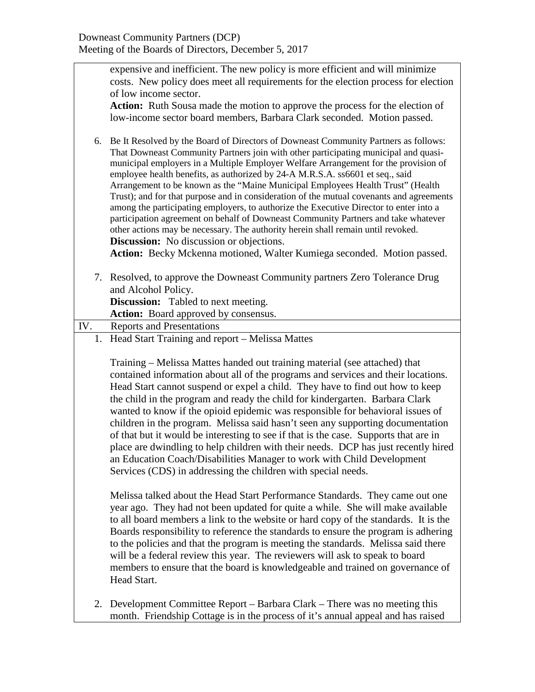|     | expensive and inefficient. The new policy is more efficient and will minimize<br>costs. New policy does meet all requirements for the election process for election |  |  |  |
|-----|---------------------------------------------------------------------------------------------------------------------------------------------------------------------|--|--|--|
|     |                                                                                                                                                                     |  |  |  |
|     | of low income sector.                                                                                                                                               |  |  |  |
|     | Action: Ruth Sousa made the motion to approve the process for the election of                                                                                       |  |  |  |
|     | low-income sector board members, Barbara Clark seconded. Motion passed.                                                                                             |  |  |  |
|     |                                                                                                                                                                     |  |  |  |
| 6.  | Be It Resolved by the Board of Directors of Downeast Community Partners as follows:                                                                                 |  |  |  |
|     | That Downeast Community Partners join with other participating municipal and quasi-                                                                                 |  |  |  |
|     | municipal employers in a Multiple Employer Welfare Arrangement for the provision of                                                                                 |  |  |  |
|     | employee health benefits, as authorized by 24-A M.R.S.A. ss6601 et seq., said                                                                                       |  |  |  |
|     | Arrangement to be known as the "Maine Municipal Employees Health Trust" (Health                                                                                     |  |  |  |
|     | Trust); and for that purpose and in consideration of the mutual covenants and agreements                                                                            |  |  |  |
|     | among the participating employers, to authorize the Executive Director to enter into a                                                                              |  |  |  |
|     | participation agreement on behalf of Downeast Community Partners and take whatever                                                                                  |  |  |  |
|     | other actions may be necessary. The authority herein shall remain until revoked.                                                                                    |  |  |  |
|     | <b>Discussion:</b> No discussion or objections.                                                                                                                     |  |  |  |
|     | Action: Becky Mckenna motioned, Walter Kumiega seconded. Motion passed.                                                                                             |  |  |  |
|     | 7. Resolved, to approve the Downeast Community partners Zero Tolerance Drug                                                                                         |  |  |  |
|     | and Alcohol Policy.                                                                                                                                                 |  |  |  |
|     | <b>Discussion:</b> Tabled to next meeting.                                                                                                                          |  |  |  |
|     | Action: Board approved by consensus.                                                                                                                                |  |  |  |
| IV. | <b>Reports and Presentations</b>                                                                                                                                    |  |  |  |
|     | 1. Head Start Training and report – Melissa Mattes                                                                                                                  |  |  |  |
|     |                                                                                                                                                                     |  |  |  |
|     | Training – Melissa Mattes handed out training material (see attached) that                                                                                          |  |  |  |
|     | contained information about all of the programs and services and their locations.                                                                                   |  |  |  |
|     | Head Start cannot suspend or expel a child. They have to find out how to keep                                                                                       |  |  |  |
|     | the child in the program and ready the child for kindergarten. Barbara Clark                                                                                        |  |  |  |
|     | wanted to know if the opioid epidemic was responsible for behavioral issues of                                                                                      |  |  |  |
|     | children in the program. Melissa said hasn't seen any supporting documentation                                                                                      |  |  |  |
|     | of that but it would be interesting to see if that is the case. Supports that are in                                                                                |  |  |  |
|     | place are dwindling to help children with their needs. DCP has just recently hired                                                                                  |  |  |  |
|     | an Education Coach/Disabilities Manager to work with Child Development                                                                                              |  |  |  |
|     | Services (CDS) in addressing the children with special needs.                                                                                                       |  |  |  |
|     |                                                                                                                                                                     |  |  |  |
|     | Melissa talked about the Head Start Performance Standards. They came out one                                                                                        |  |  |  |
|     | year ago. They had not been updated for quite a while. She will make available                                                                                      |  |  |  |
|     | to all board members a link to the website or hard copy of the standards. It is the                                                                                 |  |  |  |
|     | Boards responsibility to reference the standards to ensure the program is adhering                                                                                  |  |  |  |
|     | to the policies and that the program is meeting the standards. Melissa said there                                                                                   |  |  |  |
|     | will be a federal review this year. The reviewers will ask to speak to board                                                                                        |  |  |  |
|     | members to ensure that the board is knowledgeable and trained on governance of                                                                                      |  |  |  |
|     | Head Start.                                                                                                                                                         |  |  |  |
|     |                                                                                                                                                                     |  |  |  |
| 2.  | Development Committee Report – Barbara Clark – There was no meeting this                                                                                            |  |  |  |
|     | month. Friendship Cottage is in the process of it's annual appeal and has raised                                                                                    |  |  |  |